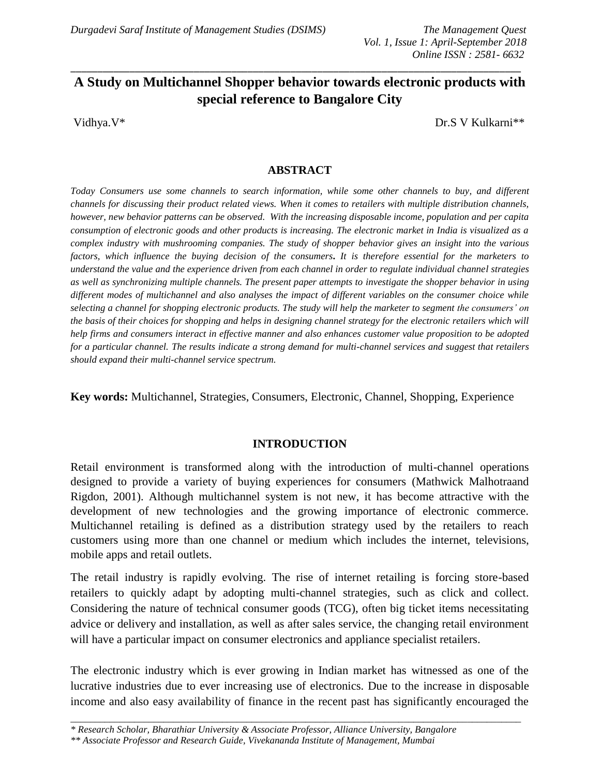# **A Study on Multichannel Shopper behavior towards electronic products with special reference to Bangalore City**

\_\_\_\_\_\_\_\_\_\_\_\_\_\_\_\_\_\_\_\_\_\_\_\_\_\_\_\_\_\_\_\_\_\_\_\_\_\_\_\_\_\_\_\_\_\_\_\_\_\_\_\_\_\_\_\_\_\_\_\_\_\_\_\_\_\_\_\_\_\_\_\_\_\_\_\_\_\_\_\_\_\_\_\_

Vidhya.V\* Dr.S V Kulkarni\*\*

### **ABSTRACT**

*Today Consumers use some channels to search information, while some other channels to buy, and different channels for discussing their product related views. When it comes to retailers with multiple distribution channels, however, new behavior patterns can be observed. With the increasing disposable income, population and per capita consumption of electronic goods and other products is increasing. The electronic market in India is visualized as a complex industry with mushrooming companies. The study of shopper behavior gives an insight into the various factors, which influence the buying decision of the consumers***.** *It is therefore essential for the marketers to understand the value and the experience driven from each channel in order to regulate individual channel strategies as well as synchronizing multiple channels. The present paper attempts to investigate the shopper behavior in using different modes of multichannel and also analyses the impact of different variables on the consumer choice while selecting a channel for shopping electronic products. The study will help the marketer to segment the consumers' on the basis of their choices for shopping and helps in designing channel strategy for the electronic retailers which will help firms and consumers interact in effective manner and also enhances customer value proposition to be adopted for a particular channel. The results indicate a strong demand for multi-channel services and suggest that retailers should expand their multi-channel service spectrum.*

**Key words:** Multichannel, Strategies, Consumers, Electronic, Channel, Shopping, Experience

### **INTRODUCTION**

Retail environment is transformed along with the introduction of multi-channel operations designed to provide a variety of buying experiences for consumers (Mathwick Malhotraand Rigdon, 2001). Although multichannel system is not new, it has become attractive with the development of new technologies and the growing importance of electronic commerce. Multichannel retailing is defined as a distribution strategy used by the retailers to reach customers using more than one channel or medium which includes the internet, televisions, mobile apps and retail outlets.

The retail industry is rapidly evolving. The rise of internet retailing is forcing store-based retailers to quickly adapt by adopting multi-channel strategies, such as click and collect. Considering the nature of technical consumer goods (TCG), often big ticket items necessitating advice or delivery and installation, as well as after sales service, the changing retail environment will have a particular impact on consumer electronics and appliance specialist retailers.

The electronic industry which is ever growing in Indian market has witnessed as one of the lucrative industries due to ever increasing use of electronics. Due to the increase in disposable income and also easy availability of finance in the recent past has significantly encouraged the

*\_\_\_\_\_\_\_\_\_\_\_\_\_\_\_\_\_\_\_\_\_\_\_\_\_\_\_\_\_\_\_\_\_\_\_\_\_\_\_\_\_\_\_\_\_\_\_\_\_\_\_\_\_\_\_\_\_\_\_\_\_\_\_\_\_\_\_\_\_\_\_\_\_\_\_\_\_\_\_\_\_\_\_\_\_\_\_\_\_\_\_\_*

*<sup>\*</sup> Research Scholar, Bharathiar University & Associate Professor, Alliance University, Bangalore*

*<sup>\*\*</sup> Associate Professor and Research Guide, Vivekananda Institute of Management, Mumbai*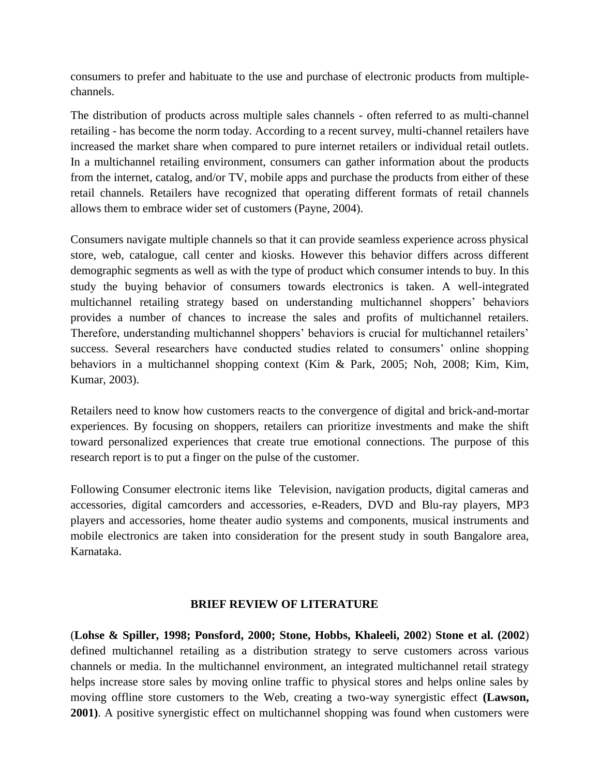consumers to prefer and habituate to the use and purchase of electronic products from multiplechannels.

The distribution of products across multiple sales channels - often referred to as multi-channel retailing - has become the norm today. According to a recent survey, multi-channel retailers have increased the market share when compared to pure internet retailers or individual retail outlets. In a multichannel retailing environment, consumers can gather information about the products from the internet, catalog, and/or TV, mobile apps and purchase the products from either of these retail channels. Retailers have recognized that operating different formats of retail channels allows them to embrace wider set of customers (Payne, 2004).

Consumers navigate multiple channels so that it can provide seamless experience across physical store, web, catalogue, call center and kiosks. However this behavior differs across different demographic segments as well as with the type of product which consumer intends to buy. In this study the buying behavior of consumers towards electronics is taken. A well-integrated multichannel retailing strategy based on understanding multichannel shoppers' behaviors provides a number of chances to increase the sales and profits of multichannel retailers. Therefore, understanding multichannel shoppers' behaviors is crucial for multichannel retailers' success. Several researchers have conducted studies related to consumers' online shopping behaviors in a multichannel shopping context (Kim & Park, 2005; Noh, 2008; Kim, Kim, Kumar, 2003).

Retailers need to know how customers reacts to the convergence of digital and brick-and-mortar experiences. By focusing on shoppers, retailers can prioritize investments and make the shift toward personalized experiences that create true emotional connections. The purpose of this research report is to put a finger on the pulse of the customer.

Following Consumer electronic items like Television, navigation products, digital cameras and accessories, digital camcorders and accessories, e-Readers, DVD and Blu-ray players, MP3 players and accessories, home theater audio systems and components, musical instruments and mobile electronics are taken into consideration for the present study in south Bangalore area, Karnataka.

### **BRIEF REVIEW OF LITERATURE**

(**Lohse & Spiller, 1998; Ponsford, 2000; Stone, Hobbs, Khaleeli, 2002**) **Stone et al. (2002**) defined multichannel retailing as a distribution strategy to serve customers across various channels or media. In the multichannel environment, an integrated multichannel retail strategy helps increase store sales by moving online traffic to physical stores and helps online sales by moving offline store customers to the Web, creating a two-way synergistic effect **(Lawson, 2001)**. A positive synergistic effect on multichannel shopping was found when customers were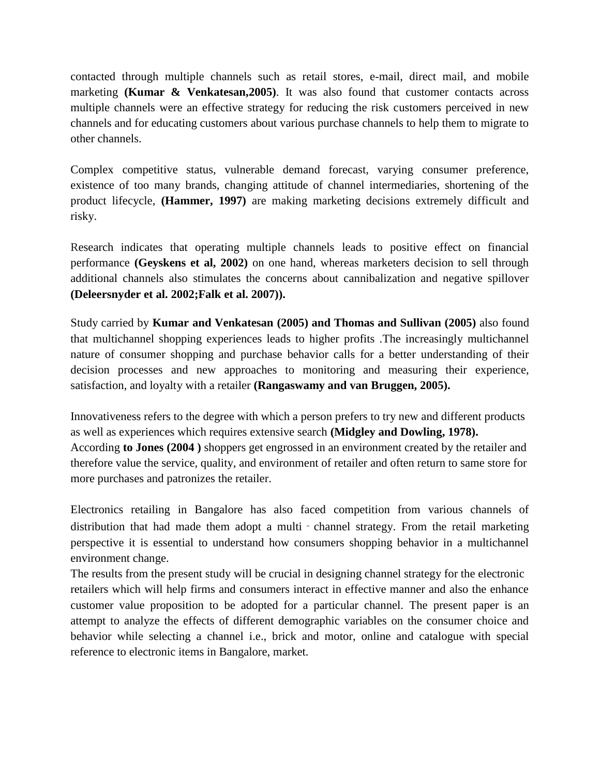contacted through multiple channels such as retail stores, e-mail, direct mail, and mobile marketing **(Kumar & Venkatesan,2005)**. It was also found that customer contacts across multiple channels were an effective strategy for reducing the risk customers perceived in new channels and for educating customers about various purchase channels to help them to migrate to other channels.

Complex competitive status, vulnerable demand forecast, varying consumer preference, existence of too many brands, changing attitude of channel intermediaries, shortening of the product lifecycle, **(Hammer, 1997)** are making marketing decisions extremely difficult and risky.

Research indicates that operating multiple channels leads to positive effect on financial performance **(Geyskens et al, 2002)** on one hand, whereas marketers decision to sell through additional channels also stimulates the concerns about cannibalization and negative spillover **(Deleersnyder et al. 2002;Falk et al. 2007)).**

Study carried by **Kumar and Venkatesan (2005) and Thomas and Sullivan (2005)** also found that multichannel shopping experiences leads to higher profits .The increasingly multichannel nature of consumer shopping and purchase behavior calls for a better understanding of their decision processes and new approaches to monitoring and measuring their experience, satisfaction, and loyalty with a retailer **(Rangaswamy and van Bruggen, 2005).**

Innovativeness refers to the degree with which a person prefers to try new and different products as well as experiences which requires extensive search **(Midgley and Dowling, 1978).** According **to Jones (2004 )** shoppers get engrossed in an environment created by the retailer and therefore value the service, quality, and environment of retailer and often return to same store for more purchases and patronizes the retailer.

Electronics retailing in Bangalore has also faced competition from various channels of distribution that had made them adopt a multi - channel strategy. From the retail marketing perspective it is essential to understand how consumers shopping behavior in a multichannel environment change.

The results from the present study will be crucial in designing channel strategy for the electronic retailers which will help firms and consumers interact in effective manner and also the enhance customer value proposition to be adopted for a particular channel. The present paper is an attempt to analyze the effects of different demographic variables on the consumer choice and behavior while selecting a channel i.e., brick and motor, online and catalogue with special reference to electronic items in Bangalore, market.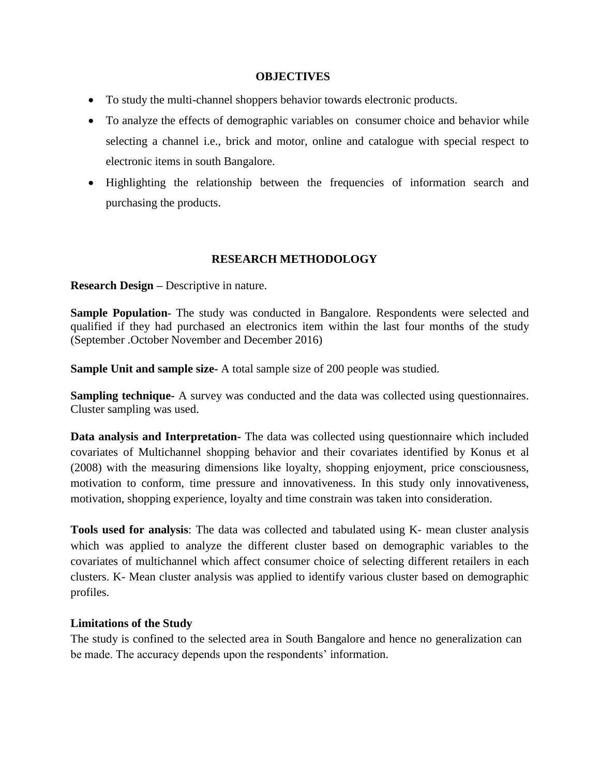#### **OBJECTIVES**

- To study the multi-channel shoppers behavior towards electronic products.
- To analyze the effects of demographic variables on consumer choice and behavior while selecting a channel i.e., brick and motor, online and catalogue with special respect to electronic items in south Bangalore.
- Highlighting the relationship between the frequencies of information search and purchasing the products.

### **RESEARCH METHODOLOGY**

**Research Design –** Descriptive in nature.

**Sample Population-** The study was conducted in Bangalore. Respondents were selected and qualified if they had purchased an electronics item within the last four months of the study (September .October November and December 2016)

**Sample Unit and sample size-** A total sample size of 200 people was studied.

**Sampling technique-** A survey was conducted and the data was collected using questionnaires. Cluster sampling was used.

**Data analysis and Interpretation-** The data was collected using questionnaire which included covariates of Multichannel shopping behavior and their covariates identified by Konus et al (2008) with the measuring dimensions like loyalty, shopping enjoyment, price consciousness, motivation to conform, time pressure and innovativeness. In this study only innovativeness, motivation, shopping experience, loyalty and time constrain was taken into consideration.

**Tools used for analysis**: The data was collected and tabulated using K- mean cluster analysis which was applied to analyze the different cluster based on demographic variables to the covariates of multichannel which affect consumer choice of selecting different retailers in each clusters. K- Mean cluster analysis was applied to identify various cluster based on demographic profiles.

### **Limitations of the Study**

The study is confined to the selected area in South Bangalore and hence no generalization can be made. The accuracy depends upon the respondents' information.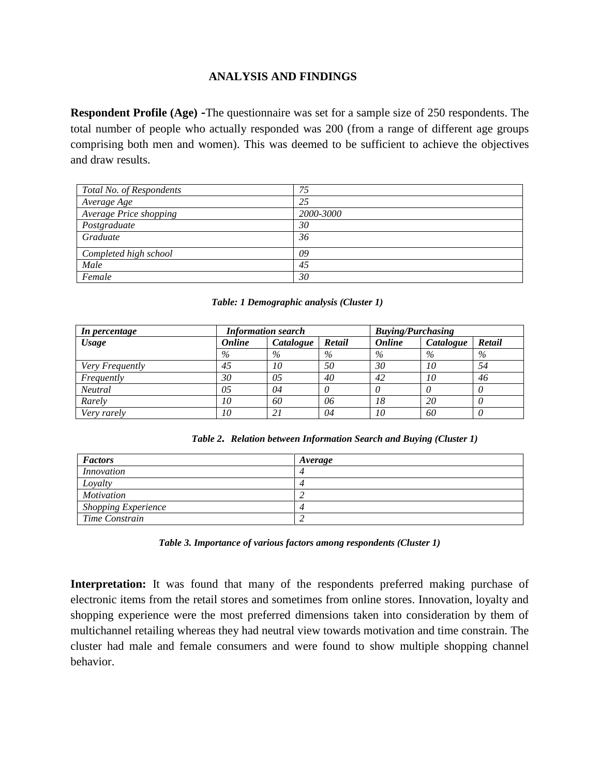### **ANALYSIS AND FINDINGS**

**Respondent Profile (Age) -**The questionnaire was set for a sample size of 250 respondents. The total number of people who actually responded was 200 (from a range of different age groups comprising both men and women). This was deemed to be sufficient to achieve the objectives and draw results.

| Total No. of Respondents | 75        |
|--------------------------|-----------|
| Average Age              | 25        |
| Average Price shopping   | 2000-3000 |
| Postgraduate             | 30        |
| Graduate                 | 36        |
| Completed high school    | 09        |
| Male                     | 45        |
| Female                   | 30        |

#### *Table: 1 Demographic analysis (Cluster 1)*

| In percentage   | <b>Information search</b> |           |        | <b>Buying/Purchasing</b> |           |        |
|-----------------|---------------------------|-----------|--------|--------------------------|-----------|--------|
| <b>Usage</b>    | <b>Online</b>             | Catalogue | Retail | <b>Online</b>            | Catalogue | Retail |
|                 | $\%$                      | $\%$      | $\%$   | $\%$                     | $\%$      | $\%$   |
| Very Frequently | 45                        | 10        | 50     | 30                       | 10        | 54     |
| Frequently      | 30                        | 05        | 40     | 42                       | 10        | 46     |
| <b>Neutral</b>  | 05                        | 04        |        | $\theta$                 |           |        |
| Rarely          | 10                        | 60        | 06     | 18                       | 20        |        |
| Very rarely     | 10                        | 2 i       | 04     | 10                       | 60        |        |

*Table 2. Relation between Information Search and Buying (Cluster 1)*

| <b>Factors</b>             | Average |
|----------------------------|---------|
| <i>Innovation</i>          |         |
| Loyalty                    |         |
| Motivation                 |         |
| <b>Shopping Experience</b> |         |
| Time Constrain             |         |

*Table 3. Importance of various factors among respondents (Cluster 1)*

Interpretation: It was found that many of the respondents preferred making purchase of electronic items from the retail stores and sometimes from online stores. Innovation, loyalty and shopping experience were the most preferred dimensions taken into consideration by them of multichannel retailing whereas they had neutral view towards motivation and time constrain. The cluster had male and female consumers and were found to show multiple shopping channel behavior.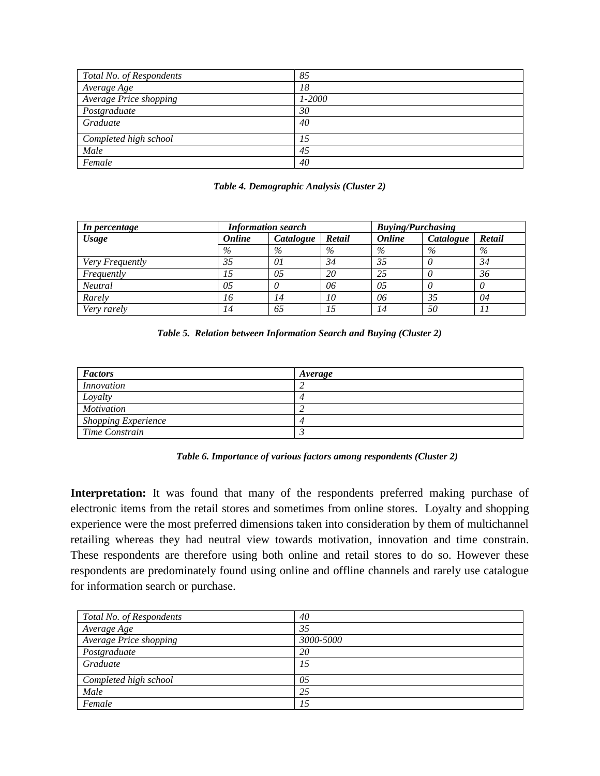| Total No. of Respondents | 85         |
|--------------------------|------------|
| Average Age              | 18         |
| Average Price shopping   | $1 - 2000$ |
| Postgraduate             | 30         |
| Graduate                 | 40         |
| Completed high school    | 15         |
| Male                     | 45         |
| Female                   | 40         |

| Table 4. Demographic Analysis (Cluster 2) |  |  |
|-------------------------------------------|--|--|
|                                           |  |  |

| In percentage   | <b>Information search</b> |           |        | <b>Buying/Purchasing</b> |           |        |
|-----------------|---------------------------|-----------|--------|--------------------------|-----------|--------|
| <b>Usage</b>    | <b>Online</b>             | Catalogue | Retail | <b>Online</b>            | Catalogue | Retail |
|                 | $\%$                      | $\%$      | $\%$   | $\%$                     | $\%$      | $\%$   |
| Very Frequently | 35                        | 01        | 34     | 35                       |           | 34     |
| Frequently      |                           | 05        | 20     | 25                       |           | 36     |
| <b>Neutral</b>  | 05                        |           | 06     | 05                       |           |        |
| Rarely          | 16                        | 14        | 10     | 06                       | 35        | 04     |
| Very rarely     |                           | 65        | 15     | 14                       | 50        |        |

|  | Table 5. Relation between Information Search and Buying (Cluster 2) |  |  |
|--|---------------------------------------------------------------------|--|--|
|  |                                                                     |  |  |

| <b>Factors</b>             | Average |
|----------------------------|---------|
| Innovation                 |         |
| Loyalty                    |         |
| <i>Motivation</i>          |         |
| <b>Shopping Experience</b> |         |
| Time Constrain             |         |

|  |  |  | Table 6. Importance of various factors among respondents (Cluster 2) |  |  |  |
|--|--|--|----------------------------------------------------------------------|--|--|--|
|--|--|--|----------------------------------------------------------------------|--|--|--|

Interpretation: It was found that many of the respondents preferred making purchase of electronic items from the retail stores and sometimes from online stores. Loyalty and shopping experience were the most preferred dimensions taken into consideration by them of multichannel retailing whereas they had neutral view towards motivation, innovation and time constrain. These respondents are therefore using both online and retail stores to do so. However these respondents are predominately found using online and offline channels and rarely use catalogue for information search or purchase.

| Total No. of Respondents | 40        |
|--------------------------|-----------|
| Average Age              | 35        |
| Average Price shopping   | 3000-5000 |
| Postgraduate             | 20        |
| Graduate                 | 15        |
| Completed high school    | 05        |
| Male                     | 25        |
| Female                   | 15        |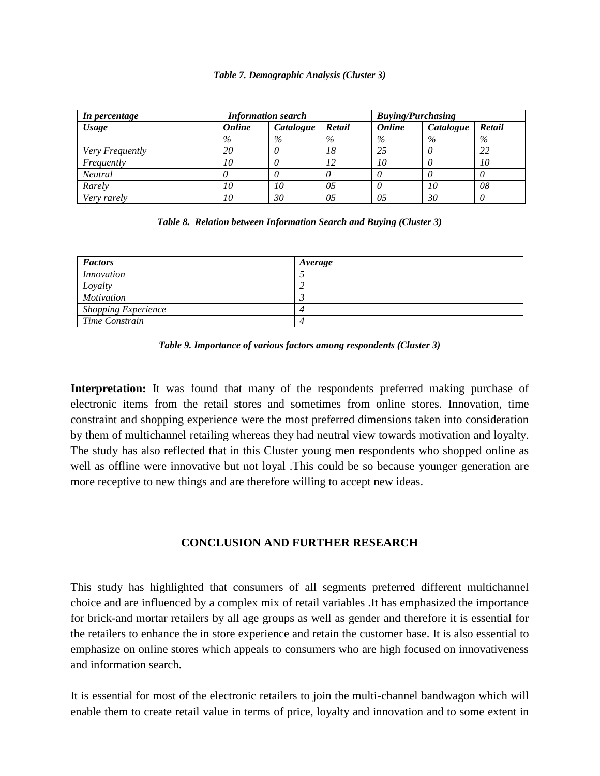#### *Table 7. Demographic Analysis (Cluster 3)*

| In percentage   | <b>Information search</b> |           |        | <b>Buying/Purchasing</b> |           |          |
|-----------------|---------------------------|-----------|--------|--------------------------|-----------|----------|
| <b>Usage</b>    | <b>Online</b>             | Catalogue | Retail | Online                   | Catalogue | Retail   |
|                 | $\%$                      | $\%$      | $\%$   | $\%$                     | $\%$      | $\%$     |
| Very Frequently | 20                        |           | 18     | 25                       |           | 22       |
| Frequently      | 10                        |           | 12     | 10                       |           | 10       |
| <b>Neutral</b>  |                           |           |        |                          |           |          |
| Rarely          | 10                        | 10        | 05     |                          | 10        | 08       |
| Very rarely     | 10                        | 30        | 05     | 05                       | 30        | $\theta$ |

#### *Table 8. Relation between Information Search and Buying (Cluster 3)*

| <b>Factors</b>             | Average |
|----------------------------|---------|
| <i>Innovation</i>          |         |
| Loyalty                    |         |
| <i>Motivation</i>          |         |
| <b>Shopping Experience</b> |         |
| Time Constrain             |         |



Interpretation: It was found that many of the respondents preferred making purchase of electronic items from the retail stores and sometimes from online stores. Innovation, time constraint and shopping experience were the most preferred dimensions taken into consideration by them of multichannel retailing whereas they had neutral view towards motivation and loyalty. The study has also reflected that in this Cluster young men respondents who shopped online as well as offline were innovative but not loyal .This could be so because younger generation are more receptive to new things and are therefore willing to accept new ideas.

### **CONCLUSION AND FURTHER RESEARCH**

This study has highlighted that consumers of all segments preferred different multichannel choice and are influenced by a complex mix of retail variables .It has emphasized the importance for brick-and mortar retailers by all age groups as well as gender and therefore it is essential for the retailers to enhance the in store experience and retain the customer base. It is also essential to emphasize on online stores which appeals to consumers who are high focused on innovativeness and information search.

It is essential for most of the electronic retailers to join the multi-channel bandwagon which will enable them to create retail value in terms of price, loyalty and innovation and to some extent in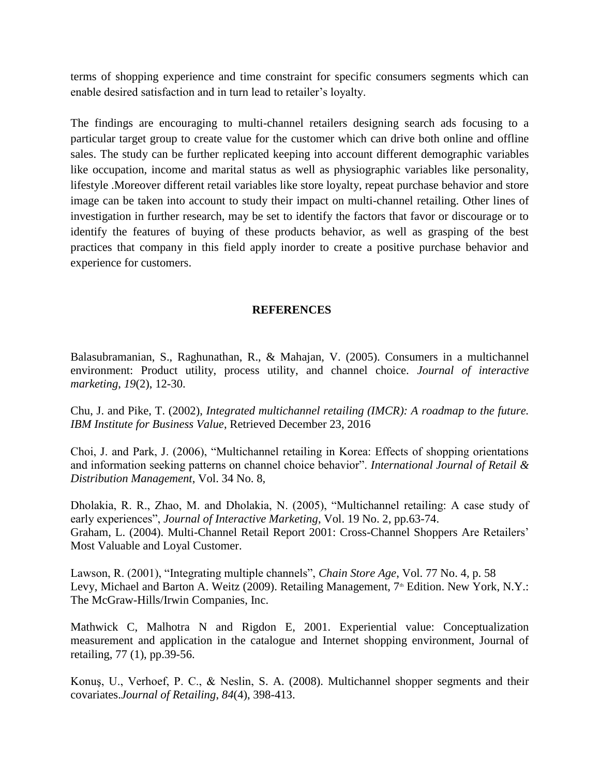terms of shopping experience and time constraint for specific consumers segments which can enable desired satisfaction and in turn lead to retailer's loyalty.

The findings are encouraging to multi-channel retailers designing search ads focusing to a particular target group to create value for the customer which can drive both online and offline sales. The study can be further replicated keeping into account different demographic variables like occupation, income and marital status as well as physiographic variables like personality, lifestyle .Moreover different retail variables like store loyalty, repeat purchase behavior and store image can be taken into account to study their impact on multi-channel retailing. Other lines of investigation in further research, may be set to identify the factors that favor or discourage or to identify the features of buying of these products behavior, as well as grasping of the best practices that company in this field apply inorder to create a positive purchase behavior and experience for customers.

## **REFERENCES**

Balasubramanian, S., Raghunathan, R., & Mahajan, V. (2005). Consumers in a multichannel environment: Product utility, process utility, and channel choice. *Journal of interactive marketing*, *19*(2), 12-30.

Chu, J. and Pike, T. (2002), *Integrated multichannel retailing (IMCR): A roadmap to the future. IBM Institute for Business Value*, Retrieved December 23, 2016

Choi, J. and Park, J. (2006), "Multichannel retailing in Korea: Effects of shopping orientations and information seeking patterns on channel choice behavior". *International Journal of Retail & Distribution Management*, Vol. 34 No. 8*,*

Dholakia, R. R., Zhao, M. and Dholakia, N. (2005), "Multichannel retailing: A case study of early experiences", *Journal of Interactive Marketing*, Vol. 19 No. 2, pp.63-74. Graham, L. (2004). Multi-Channel Retail Report 2001: Cross-Channel Shoppers Are Retailers' Most Valuable and Loyal Customer.

Lawson, R. (2001), "Integrating multiple channels", *Chain Store Age*, Vol. 77 No. 4*,* p. 58 Levy, Michael and Barton A. Weitz (2009). Retailing Management, 7<sup>th</sup> Edition. New York, N.Y.: The McGraw-Hills/Irwin Companies, Inc.

Mathwick C, Malhotra N and Rigdon E, 2001. Experiential value: Conceptualization measurement and application in the catalogue and Internet shopping environment, Journal of retailing, 77 (1), pp.39-56.

Konuş, U., Verhoef, P. C., & Neslin, S. A. (2008). Multichannel shopper segments and their covariates.*Journal of Retailing*, *84*(4), 398-413.